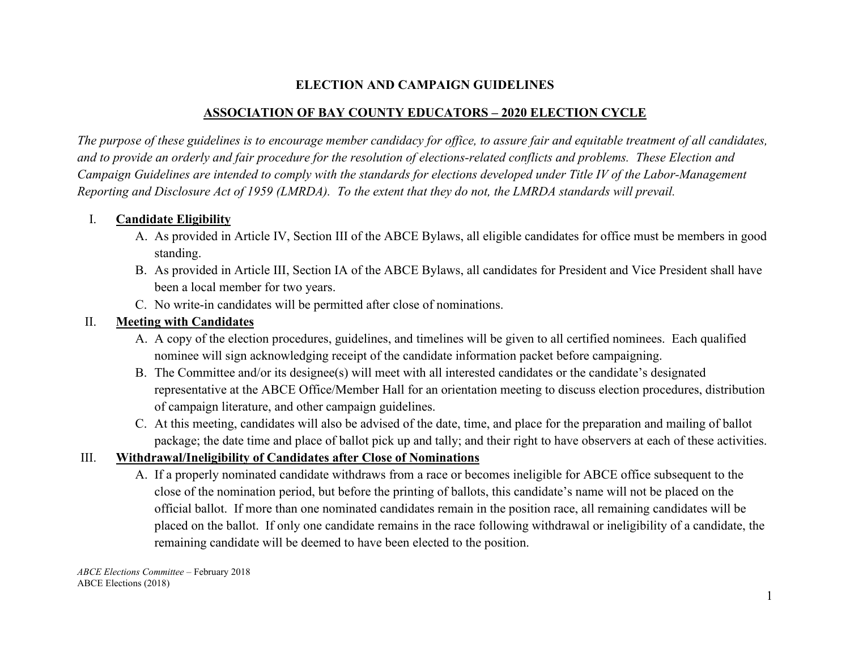### **ELECTION AND CAMPAIGN GUIDELINES**

### **ASSOCIATION OF BAY COUNTY EDUCATORS – 2020 ELECTION CYCLE**

*The purpose of these guidelines is to encourage member candidacy for office, to assure fair and equitable treatment of all candidates, and to provide an orderly and fair procedure for the resolution of elections-related conflicts and problems. These Election and Campaign Guidelines are intended to comply with the standards for elections developed under Title IV of the Labor-Management Reporting and Disclosure Act of 1959 (LMRDA). To the extent that they do not, the LMRDA standards will prevail.*

#### I. **Candidate Eligibility**

- A. As provided in Article IV, Section III of the ABCE Bylaws, all eligible candidates for office must be members in good standing.
- B. As provided in Article III, Section IA of the ABCE Bylaws, all candidates for President and Vice President shall have been a local member for two years.
- C. No write-in candidates will be permitted after close of nominations.

### II. **Meeting with Candidates**

- A. A copy of the election procedures, guidelines, and timelines will be given to all certified nominees. Each qualified nominee will sign acknowledging receipt of the candidate information packet before campaigning.
- B. The Committee and/or its designee(s) will meet with all interested candidates or the candidate's designated representative at the ABCE Office/Member Hall for an orientation meeting to discuss election procedures, distribution of campaign literature, and other campaign guidelines.
- C. At this meeting, candidates will also be advised of the date, time, and place for the preparation and mailing of ballot package; the date time and place of ballot pick up and tally; and their right to have observers at each of these activities.

# III. **Withdrawal/Ineligibility of Candidates after Close of Nominations**

A. If a properly nominated candidate withdraws from a race or becomes ineligible for ABCE office subsequent to the close of the nomination period, but before the printing of ballots, this candidate's name will not be placed on the official ballot. If more than one nominated candidates remain in the position race, all remaining candidates will be placed on the ballot. If only one candidate remains in the race following withdrawal or ineligibility of a candidate, the remaining candidate will be deemed to have been elected to the position.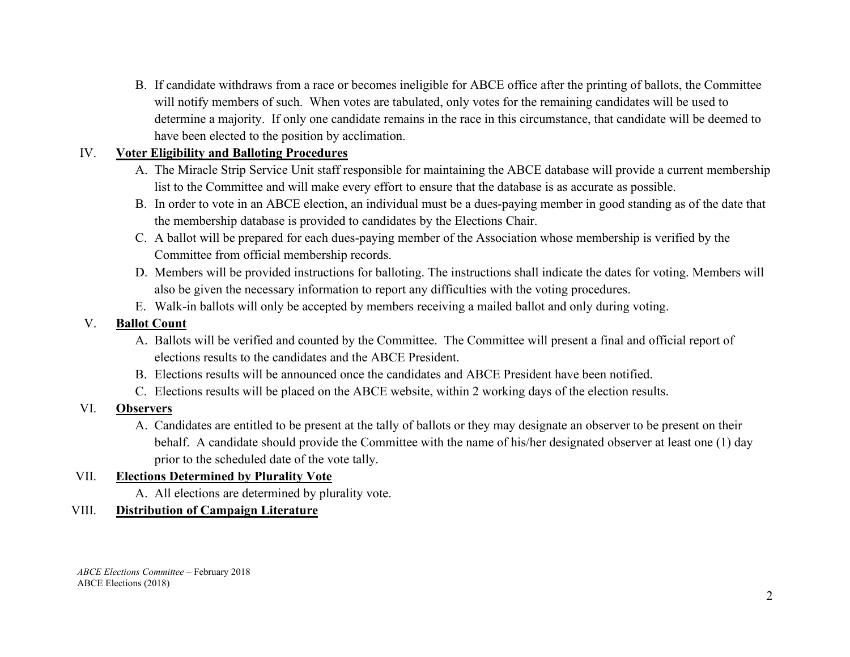B. If candidate withdraws from a race or becomes ineligible for ABCE office after the printing of ballots, the Committee will notify members of such. When votes are tabulated, only votes for the remaining candidates will be used to determine a majority. If only one candidate remains in the race in this circumstance, that candidate will be deemed to have been elected to the position by acclimation.

# IV. **Voter Eligibility and Balloting Procedures**

- A. The Miracle Strip Service Unit staff responsible for maintaining the ABCE database will provide a current membership list to the Committee and will make every effort to ensure that the database is as accurate as possible.
- B. In order to vote in an ABCE election, an individual must be a dues-paying member in good standing as of the date that the membership database is provided to candidates by the Elections Chair.
- C. A ballot will be prepared for each dues-paying member of the Association whose membership is verified by the Committee from official membership records.
- D. Members will be provided instructions for balloting. The instructions shall indicate the dates for voting. Members will also be given the necessary information to report any difficulties with the voting procedures.
- E. Walk-in ballots will only be accepted by members receiving a mailed ballot and only during voting.

### V. **Ballot Count**

- A. Ballots will be verified and counted by the Committee. The Committee will present a final and official report of elections results to the candidates and the ABCE President.
- B. Elections results will be announced once the candidates and ABCE President have been notified.
- C. Elections results will be placed on the ABCE website, within 2 working days of the election results.
- VI. **Observers**
	- A. Candidates are entitled to be present at the tally of ballots or they may designate an observer to be present on their behalf. A candidate should provide the Committee with the name of his/her designated observer at least one (1) day prior to the scheduled date of the vote tally.

# VII. **Elections Determined by Plurality Vote**

A. All elections are determined by plurality vote.

#### VIII. **Distribution of Campaign Literature**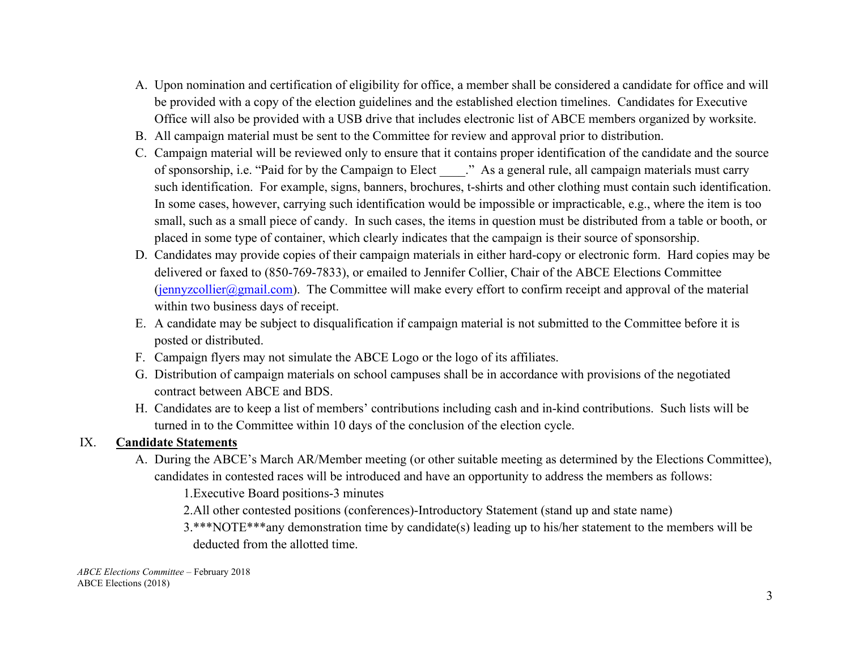- A. Upon nomination and certification of eligibility for office, a member shall be considered a candidate for office and will be provided with a copy of the election guidelines and the established election timelines. Candidates for Executive Office will also be provided with a USB drive that includes electronic list of ABCE members organized by worksite.
- B. All campaign material must be sent to the Committee for review and approval prior to distribution.
- C. Campaign material will be reviewed only to ensure that it contains proper identification of the candidate and the source of sponsorship, i.e. "Paid for by the Campaign to Elect \_\_\_\_." As a general rule, all campaign materials must carry such identification. For example, signs, banners, brochures, t-shirts and other clothing must contain such identification. In some cases, however, carrying such identification would be impossible or impracticable, e.g., where the item is too small, such as a small piece of candy. In such cases, the items in question must be distributed from a table or booth, or placed in some type of container, which clearly indicates that the campaign is their source of sponsorship.
- D. Candidates may provide copies of their campaign materials in either hard-copy or electronic form. Hard copies may be delivered or faxed to (850-769-7833), or emailed to Jennifer Collier, Chair of the ABCE Elections Committee  $(jennyzcollier@gmail.com)$ . The Committee will make every effort to confirm receipt and approval of the material within two business days of receipt.
- E. A candidate may be subject to disqualification if campaign material is not submitted to the Committee before it is posted or distributed.
- F. Campaign flyers may not simulate the ABCE Logo or the logo of its affiliates.
- G. Distribution of campaign materials on school campuses shall be in accordance with provisions of the negotiated contract between ABCE and BDS.
- H. Candidates are to keep a list of members' contributions including cash and in-kind contributions. Such lists will be turned in to the Committee within 10 days of the conclusion of the election cycle.

#### IX. **Candidate Statements**

A. During the ABCE's March AR/Member meeting (or other suitable meeting as determined by the Elections Committee), candidates in contested races will be introduced and have an opportunity to address the members as follows:

1.Executive Board positions-3 minutes

- 2.All other contested positions (conferences)-Introductory Statement (stand up and state name)
- 3.\*\*\*NOTE\*\*\*any demonstration time by candidate(s) leading up to his/her statement to the members will be deducted from the allotted time.

*ABCE Elections Committee* – February 2018 ABCE Elections (2018)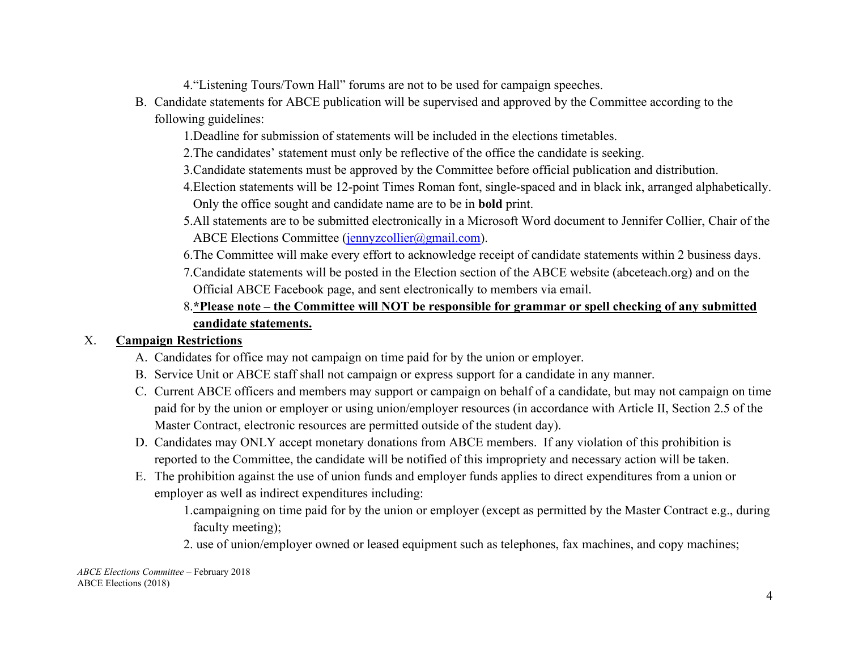4."Listening Tours/Town Hall" forums are not to be used for campaign speeches.

- B. Candidate statements for ABCE publication will be supervised and approved by the Committee according to the following guidelines:
	- 1.Deadline for submission of statements will be included in the elections timetables.
	- 2.The candidates' statement must only be reflective of the office the candidate is seeking.
	- 3.Candidate statements must be approved by the Committee before official publication and distribution.
	- 4.Election statements will be 12-point Times Roman font, single-spaced and in black ink, arranged alphabetically. Only the office sought and candidate name are to be in **bold** print.
	- 5.All statements are to be submitted electronically in a Microsoft Word document to Jennifer Collier, Chair of the ABCE Elections Committee [\(jennyzcollier@gmail.com\)](mailto:jennyzcollier@gmail.com).
	- 6.The Committee will make every effort to acknowledge receipt of candidate statements within 2 business days.
	- 7.Candidate statements will be posted in the Election section of the ABCE website (abceteach.org) and on the Official ABCE Facebook page, and sent electronically to members via email.

# 8.**\*Please note – the Committee will NOT be responsible for grammar or spell checking of any submitted candidate statements.**

# X. **Campaign Restrictions**

- A. Candidates for office may not campaign on time paid for by the union or employer.
- B. Service Unit or ABCE staff shall not campaign or express support for a candidate in any manner.
- C. Current ABCE officers and members may support or campaign on behalf of a candidate, but may not campaign on time paid for by the union or employer or using union/employer resources (in accordance with Article II, Section 2.5 of the Master Contract, electronic resources are permitted outside of the student day).
- D. Candidates may ONLY accept monetary donations from ABCE members. If any violation of this prohibition is reported to the Committee, the candidate will be notified of this impropriety and necessary action will be taken.
- E. The prohibition against the use of union funds and employer funds applies to direct expenditures from a union or employer as well as indirect expenditures including:

1.campaigning on time paid for by the union or employer (except as permitted by the Master Contract e.g., during faculty meeting);

2. use of union/employer owned or leased equipment such as telephones, fax machines, and copy machines;